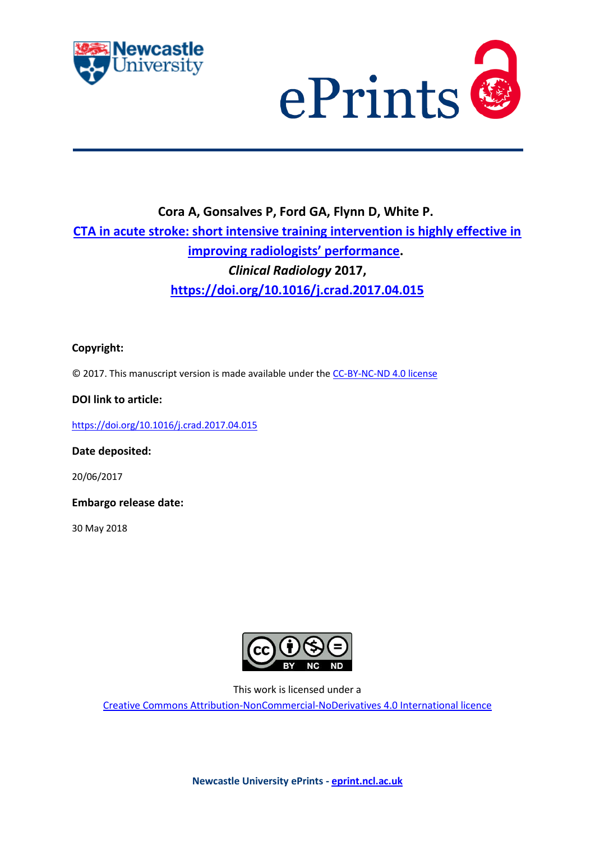



# **Cora A, Gonsalves P, Ford GA, Flynn D, White P. [CTA in acute stroke: short intensive training intervention is highly effective in](https://myimpact.ncl.ac.uk/ViewPublication.aspx?id=237833)  [improving radiologists' performance](https://myimpact.ncl.ac.uk/ViewPublication.aspx?id=237833).** *Clinical Radiology* **2017, <https://doi.org/10.1016/j.crad.2017.04.015>**

### **Copyright:**

© 2017. This manuscript version is made available under the [CC-BY-NC-ND 4.0 license](http://creativecommons.org/licenses/by-nc-nd/4.0/)

### **DOI link to article:**

<https://doi.org/10.1016/j.crad.2017.04.015>

#### **Date deposited:**

20/06/2017

**Embargo release date:**

30 May 2018



This work is licensed under a

[Creative Commons Attribution-NonCommercial-NoDerivatives 4.0 International licence](https://creativecommons.org/licenses/by-nc-nd/4.0/)

**Newcastle University ePrints - [eprint.ncl.ac.uk](http://eprint.ncl.ac.uk/)**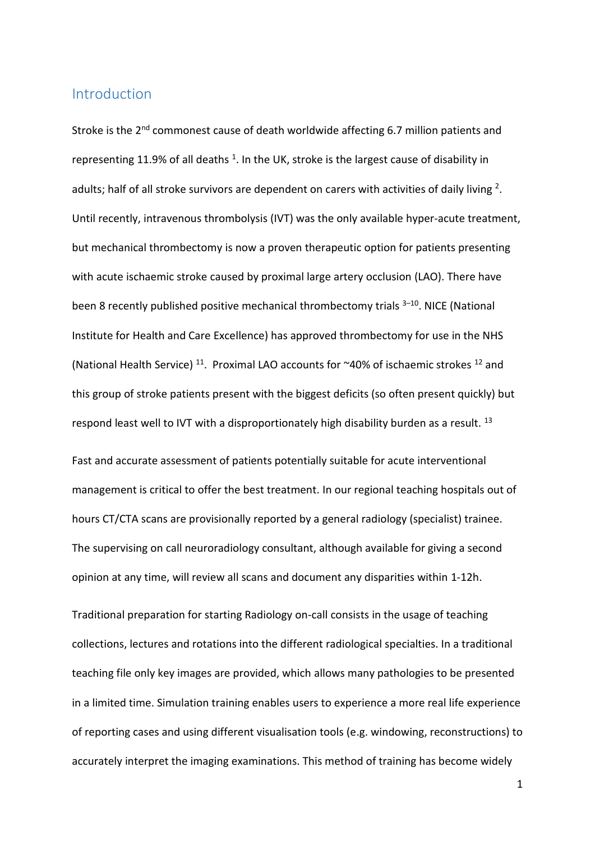# Introduction

Stroke is the 2<sup>nd</sup> commonest cause of death worldwide affecting 6.7 million patients and representing 11.9% of all deaths  $^1$ . In the UK, stroke is the largest cause of disability in adults; half of all stroke survivors are dependent on carers with activities of daily living <sup>2</sup>. Until recently, intravenous thrombolysis (IVT) was the only available hyper-acute treatment, but mechanical thrombectomy is now a proven therapeutic option for patients presenting with acute ischaemic stroke caused by proximal large artery occlusion (LAO). There have been 8 recently published positive mechanical thrombectomy trials <sup>3-10</sup>. NICE (National Institute for Health and Care Excellence) has approved thrombectomy for use in the NHS (National Health Service)<sup>11</sup>. Proximal LAO accounts for ~40% of ischaemic strokes<sup>12</sup> and this group of stroke patients present with the biggest deficits (so often present quickly) but respond least well to IVT with a disproportionately high disability burden as a result.<sup>13</sup>

Fast and accurate assessment of patients potentially suitable for acute interventional management is critical to offer the best treatment. In our regional teaching hospitals out of hours CT/CTA scans are provisionally reported by a general radiology (specialist) trainee. The supervising on call neuroradiology consultant, although available for giving a second opinion at any time, will review all scans and document any disparities within 1-12h.

Traditional preparation for starting Radiology on-call consists in the usage of teaching collections, lectures and rotations into the different radiological specialties. In a traditional teaching file only key images are provided, which allows many pathologies to be presented in a limited time. Simulation training enables users to experience a more real life experience of reporting cases and using different visualisation tools (e.g. windowing, reconstructions) to accurately interpret the imaging examinations. This method of training has become widely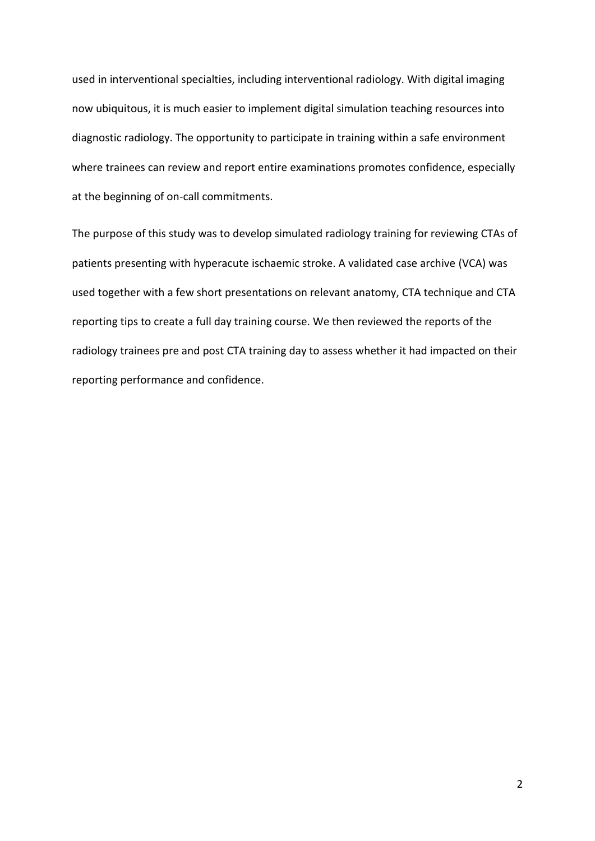used in interventional specialties, including interventional radiology. With digital imaging now ubiquitous, it is much easier to implement digital simulation teaching resources into diagnostic radiology. The opportunity to participate in training within a safe environment where trainees can review and report entire examinations promotes confidence, especially at the beginning of on-call commitments.

The purpose of this study was to develop simulated radiology training for reviewing CTAs of patients presenting with hyperacute ischaemic stroke. A validated case archive (VCA) was used together with a few short presentations on relevant anatomy, CTA technique and CTA reporting tips to create a full day training course. We then reviewed the reports of the radiology trainees pre and post CTA training day to assess whether it had impacted on their reporting performance and confidence.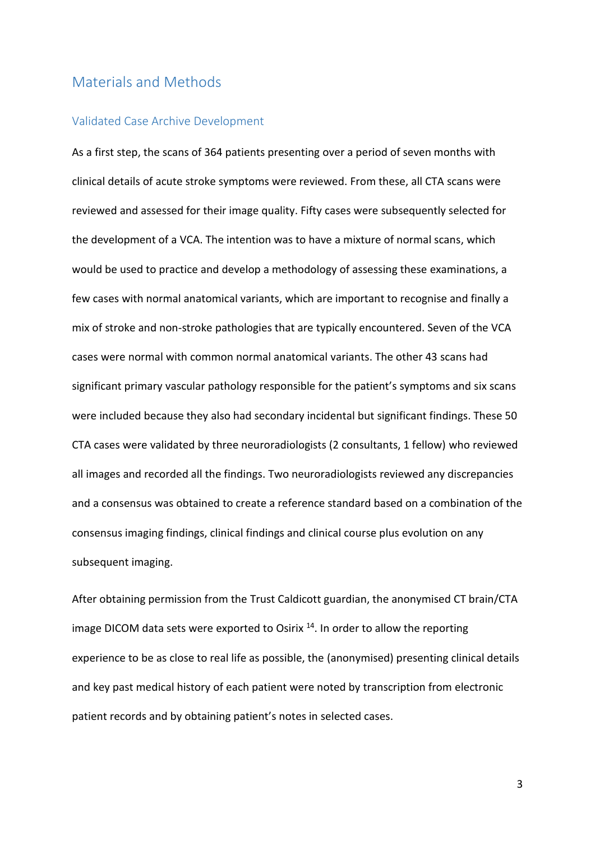## Materials and Methods

#### Validated Case Archive Development

As a first step, the scans of 364 patients presenting over a period of seven months with clinical details of acute stroke symptoms were reviewed. From these, all CTA scans were reviewed and assessed for their image quality. Fifty cases were subsequently selected for the development of a VCA. The intention was to have a mixture of normal scans, which would be used to practice and develop a methodology of assessing these examinations, a few cases with normal anatomical variants, which are important to recognise and finally a mix of stroke and non-stroke pathologies that are typically encountered. Seven of the VCA cases were normal with common normal anatomical variants. The other 43 scans had significant primary vascular pathology responsible for the patient's symptoms and six scans were included because they also had secondary incidental but significant findings. These 50 CTA cases were validated by three neuroradiologists (2 consultants, 1 fellow) who reviewed all images and recorded all the findings. Two neuroradiologists reviewed any discrepancies and a consensus was obtained to create a reference standard based on a combination of the consensus imaging findings, clinical findings and clinical course plus evolution on any subsequent imaging.

After obtaining permission from the Trust Caldicott guardian, the anonymised CT brain/CTA image DICOM data sets were exported to Osirix<sup>14</sup>. In order to allow the reporting experience to be as close to real life as possible, the (anonymised) presenting clinical details and key past medical history of each patient were noted by transcription from electronic patient records and by obtaining patient's notes in selected cases.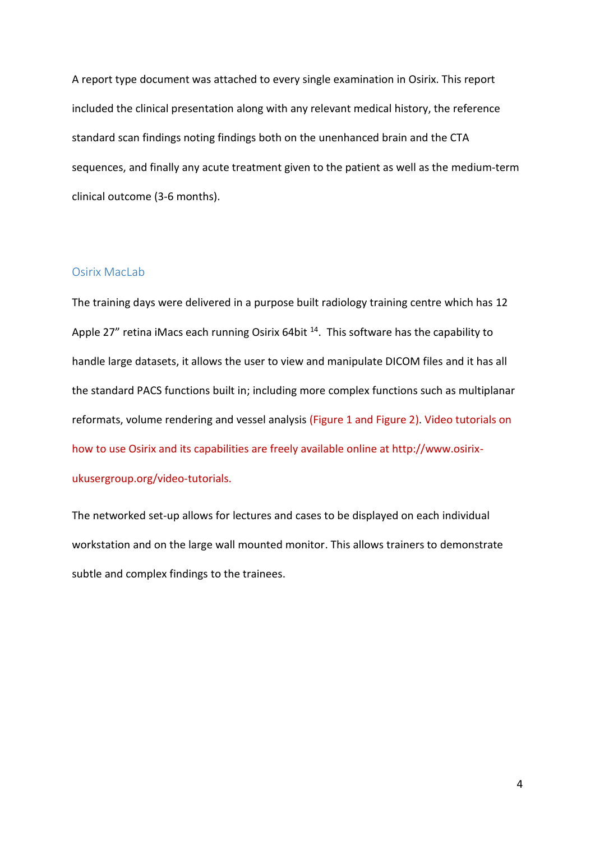A report type document was attached to every single examination in Osirix. This report included the clinical presentation along with any relevant medical history, the reference standard scan findings noting findings both on the unenhanced brain and the CTA sequences, and finally any acute treatment given to the patient as well as the medium-term clinical outcome (3-6 months).

### Osirix MacLab

The training days were delivered in a purpose built radiology training centre which has 12 Apple 27" retina iMacs each running Osirix 64bit <sup>14</sup>. This software has the capability to handle large datasets, it allows the user to view and manipulate DICOM files and it has all the standard PACS functions built in; including more complex functions such as multiplanar reformats, volume rendering and vessel analysis (Figure 1 and Figure 2). Video tutorials on how to use Osirix and its capabilities are freely available online at http://www.osirixukusergroup.org/video-tutorials.

The networked set-up allows for lectures and cases to be displayed on each individual workstation and on the large wall mounted monitor. This allows trainers to demonstrate subtle and complex findings to the trainees.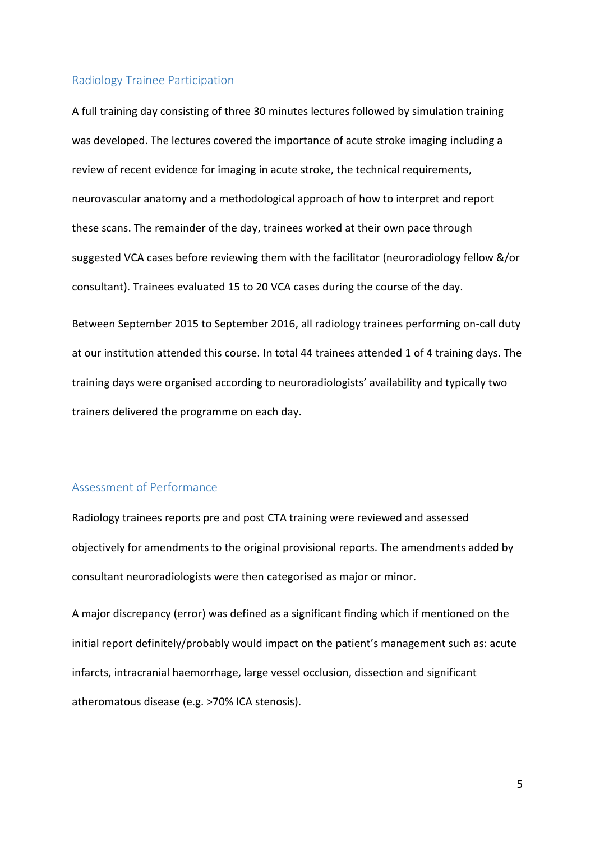#### Radiology Trainee Participation

A full training day consisting of three 30 minutes lectures followed by simulation training was developed. The lectures covered the importance of acute stroke imaging including a review of recent evidence for imaging in acute stroke, the technical requirements, neurovascular anatomy and a methodological approach of how to interpret and report these scans. The remainder of the day, trainees worked at their own pace through suggested VCA cases before reviewing them with the facilitator (neuroradiology fellow &/or consultant). Trainees evaluated 15 to 20 VCA cases during the course of the day.

Between September 2015 to September 2016, all radiology trainees performing on-call duty at our institution attended this course. In total 44 trainees attended 1 of 4 training days. The training days were organised according to neuroradiologists' availability and typically two trainers delivered the programme on each day.

### Assessment of Performance

Radiology trainees reports pre and post CTA training were reviewed and assessed objectively for amendments to the original provisional reports. The amendments added by consultant neuroradiologists were then categorised as major or minor.

A major discrepancy (error) was defined as a significant finding which if mentioned on the initial report definitely/probably would impact on the patient's management such as: acute infarcts, intracranial haemorrhage, large vessel occlusion, dissection and significant atheromatous disease (e.g. >70% ICA stenosis).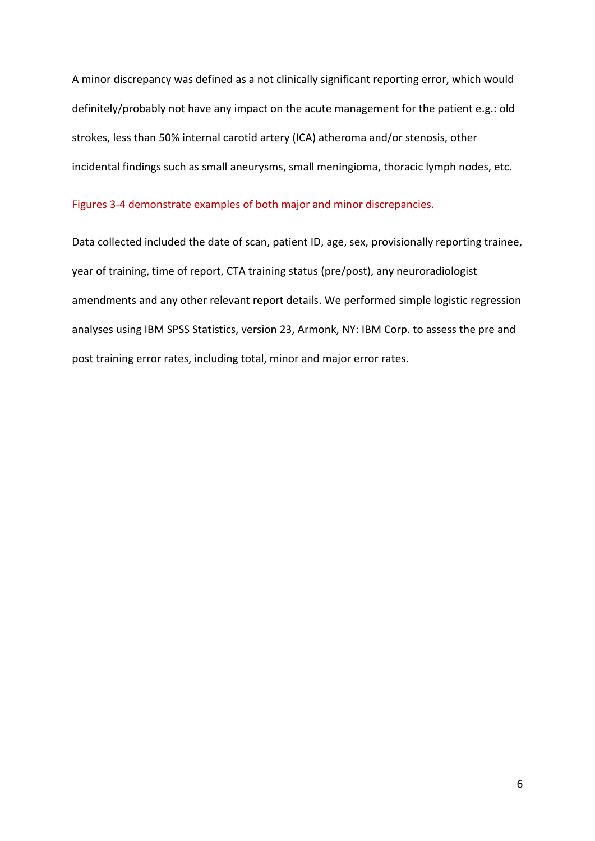A minor discrepancy was defined as a not clinically significant reporting error, which would definitely/probably not have any impact on the acute management for the patient e.g.: old strokes, less than 50% internal carotid artery (ICA) atheroma and/or stenosis, other incidental findings such as small aneurysms, small meningioma, thoracic lymph nodes, etc.

#### Figures 3-4 demonstrate examples of both major and minor discrepancies.

Data collected included the date of scan, patient ID, age, sex, provisionally reporting trainee, year of training, time of report, CTA training status (pre/post), any neuroradiologist amendments and any other relevant report details. We performed simple logistic regression analyses using IBM SPSS Statistics, version 23, Armonk, NY: IBM Corp. to assess the pre and post training error rates, including total, minor and major error rates.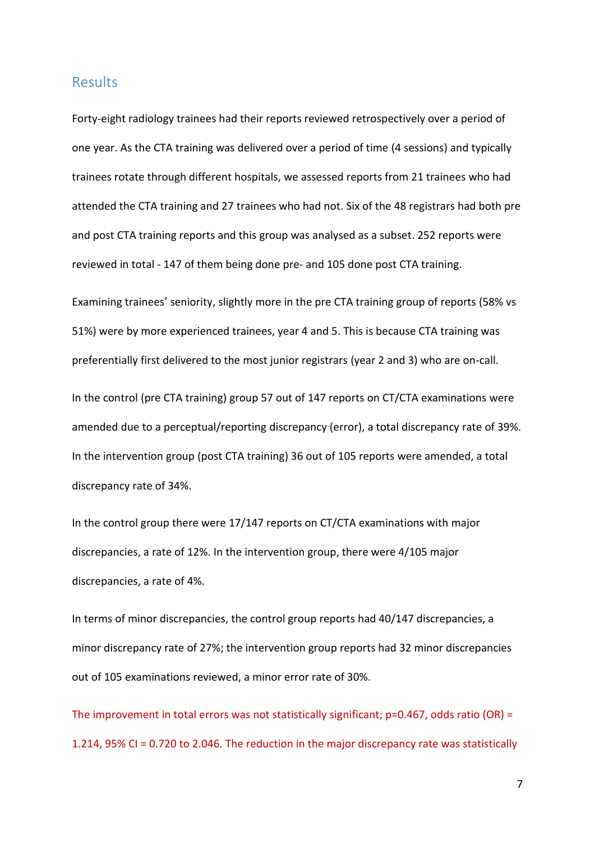# **Results**

Forty-eight radiology trainees had their reports reviewed retrospectively over a period of one year. As the CTA training was delivered over a period of time (4 sessions) and typically trainees rotate through different hospitals, we assessed reports from 21 trainees who had attended the CTA training and 27 trainees who had not. Six of the 48 registrars had both pre and post CTA training reports and this group was analysed as a subset. 252 reports were reviewed in total - 147 of them being done pre- and 105 done post CTA training.

Examining trainees' seniority, slightly more in the pre CTA training group of reports (58% vs 51%) were by more experienced trainees, year 4 and 5. This is because CTA training was preferentially first delivered to the most junior registrars (year 2 and 3) who are on-call.

In the control (pre CTA training) group 57 out of 147 reports on CT/CTA examinations were amended due to a perceptual/reporting discrepancy (error), a total discrepancy rate of 39%. In the intervention group (post CTA training) 36 out of 105 reports were amended, a total discrepancy rate of 34%.

In the control group there were 17/147 reports on CT/CTA examinations with major discrepancies, a rate of 12%. In the intervention group, there were 4/105 major discrepancies, a rate of 4%.

In terms of minor discrepancies, the control group reports had 40/147 discrepancies, a minor discrepancy rate of 27%; the intervention group reports had 32 minor discrepancies out of 105 examinations reviewed, a minor error rate of 30%.

The improvement in total errors was not statistically significant;  $p=0.467$ , odds ratio (OR) = 1.214, 95% CI = 0.720 to 2.046. The reduction in the major discrepancy rate was statistically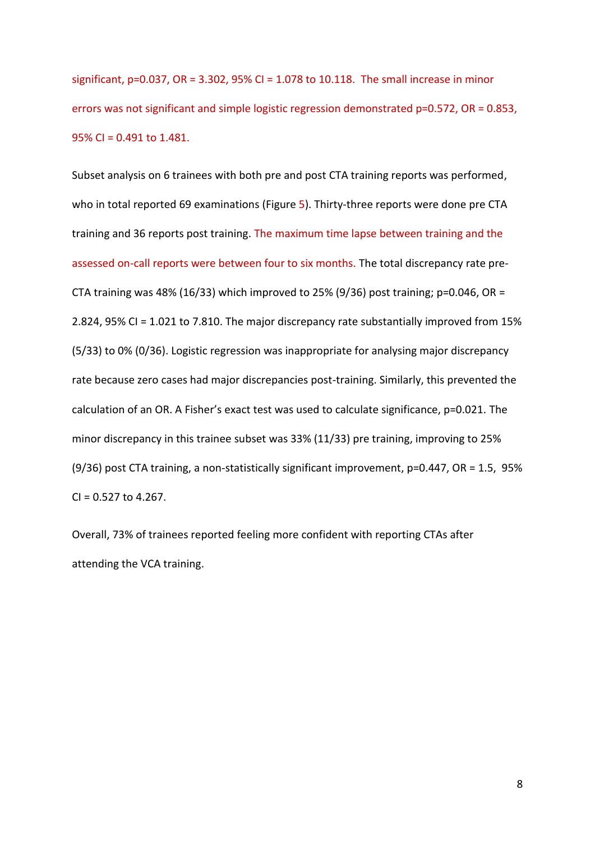significant, p=0.037, OR = 3.302, 95% CI = 1.078 to 10.118. The small increase in minor errors was not significant and simple logistic regression demonstrated p=0.572, OR = 0.853, 95% CI = 0.491 to 1.481.

Subset analysis on 6 trainees with both pre and post CTA training reports was performed, who in total reported 69 examinations (Figure 5). Thirty-three reports were done pre CTA training and 36 reports post training. The maximum time lapse between training and the assessed on-call reports were between four to six months. The total discrepancy rate pre-CTA training was 48% (16/33) which improved to 25% (9/36) post training;  $p=0.046$ , OR = 2.824, 95% CI = 1.021 to 7.810. The major discrepancy rate substantially improved from 15% (5/33) to 0% (0/36). Logistic regression was inappropriate for analysing major discrepancy rate because zero cases had major discrepancies post-training. Similarly, this prevented the calculation of an OR. A Fisher's exact test was used to calculate significance, p=0.021. The minor discrepancy in this trainee subset was 33% (11/33) pre training, improving to 25%  $(9/36)$  post CTA training, a non-statistically significant improvement, p=0.447, OR = 1.5, 95%  $CI = 0.527$  to 4.267.

Overall, 73% of trainees reported feeling more confident with reporting CTAs after attending the VCA training.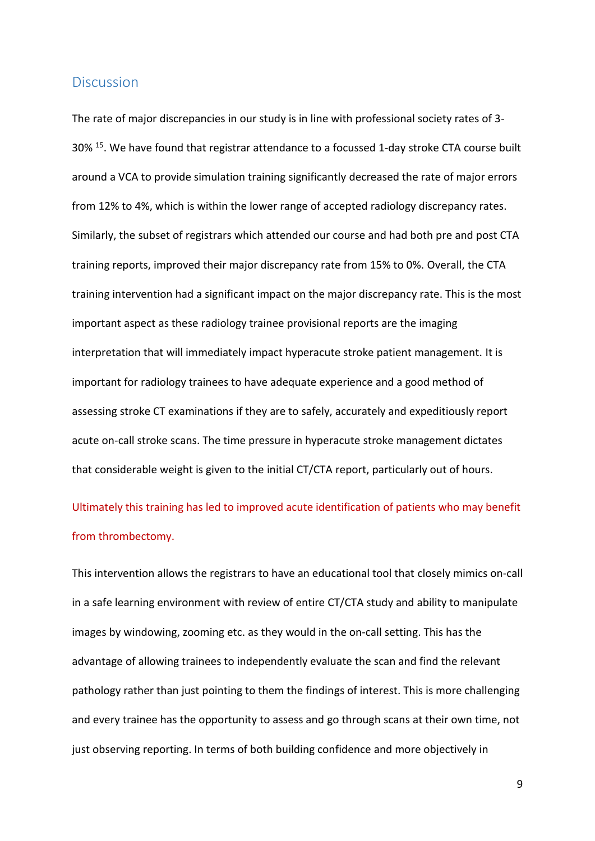### **Discussion**

The rate of major discrepancies in our study is in line with professional society rates of 3- 30% <sup>15</sup> . We have found that registrar attendance to a focussed 1-day stroke CTA course built around a VCA to provide simulation training significantly decreased the rate of major errors from 12% to 4%, which is within the lower range of accepted radiology discrepancy rates. Similarly, the subset of registrars which attended our course and had both pre and post CTA training reports, improved their major discrepancy rate from 15% to 0%. Overall, the CTA training intervention had a significant impact on the major discrepancy rate. This is the most important aspect as these radiology trainee provisional reports are the imaging interpretation that will immediately impact hyperacute stroke patient management. It is important for radiology trainees to have adequate experience and a good method of assessing stroke CT examinations if they are to safely, accurately and expeditiously report acute on-call stroke scans. The time pressure in hyperacute stroke management dictates that considerable weight is given to the initial CT/CTA report, particularly out of hours.

Ultimately this training has led to improved acute identification of patients who may benefit from thrombectomy.

This intervention allows the registrars to have an educational tool that closely mimics on-call in a safe learning environment with review of entire CT/CTA study and ability to manipulate images by windowing, zooming etc. as they would in the on-call setting. This has the advantage of allowing trainees to independently evaluate the scan and find the relevant pathology rather than just pointing to them the findings of interest. This is more challenging and every trainee has the opportunity to assess and go through scans at their own time, not just observing reporting. In terms of both building confidence and more objectively in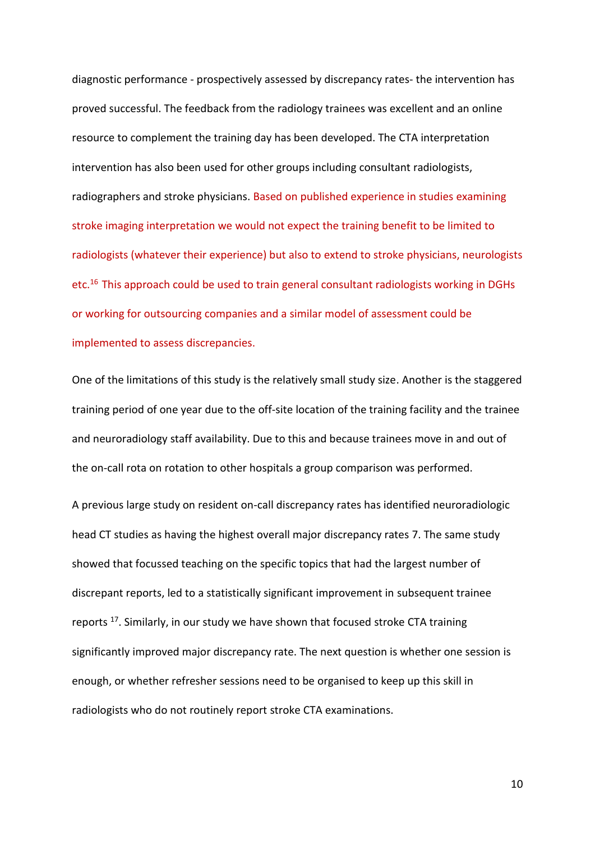diagnostic performance - prospectively assessed by discrepancy rates- the intervention has proved successful. The feedback from the radiology trainees was excellent and an online resource to complement the training day has been developed. The CTA interpretation intervention has also been used for other groups including consultant radiologists, radiographers and stroke physicians. Based on published experience in studies examining stroke imaging interpretation we would not expect the training benefit to be limited to radiologists (whatever their experience) but also to extend to stroke physicians, neurologists etc.<sup>16</sup> This approach could be used to train general consultant radiologists working in DGHs or working for outsourcing companies and a similar model of assessment could be implemented to assess discrepancies.

One of the limitations of this study is the relatively small study size. Another is the staggered training period of one year due to the off-site location of the training facility and the trainee and neuroradiology staff availability. Due to this and because trainees move in and out of the on-call rota on rotation to other hospitals a group comparison was performed.

A previous large study on resident on-call discrepancy rates has identified neuroradiologic head CT studies as having the highest overall major discrepancy rates 7. The same study showed that focussed teaching on the specific topics that had the largest number of discrepant reports, led to a statistically significant improvement in subsequent trainee reports <sup>17</sup>. Similarly, in our study we have shown that focused stroke CTA training significantly improved major discrepancy rate. The next question is whether one session is enough, or whether refresher sessions need to be organised to keep up this skill in radiologists who do not routinely report stroke CTA examinations.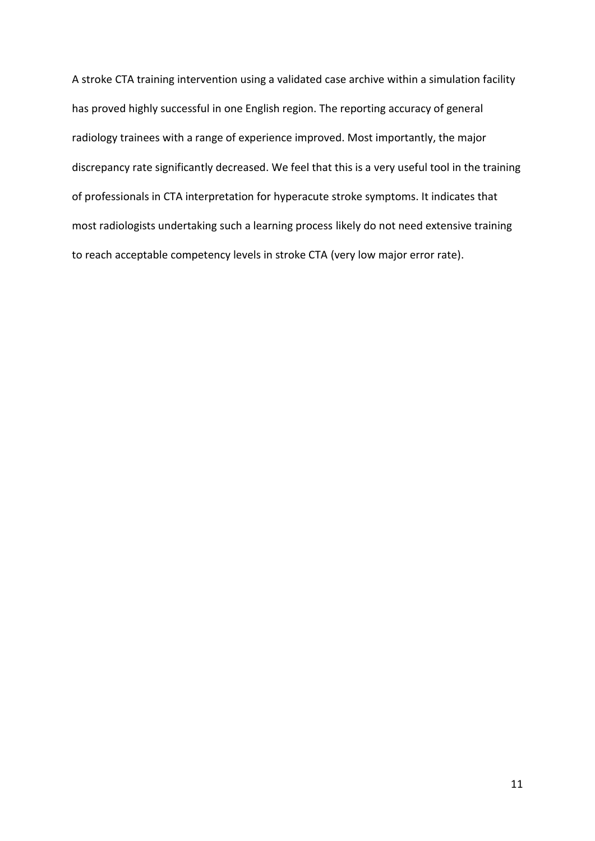A stroke CTA training intervention using a validated case archive within a simulation facility has proved highly successful in one English region. The reporting accuracy of general radiology trainees with a range of experience improved. Most importantly, the major discrepancy rate significantly decreased. We feel that this is a very useful tool in the training of professionals in CTA interpretation for hyperacute stroke symptoms. It indicates that most radiologists undertaking such a learning process likely do not need extensive training to reach acceptable competency levels in stroke CTA (very low major error rate).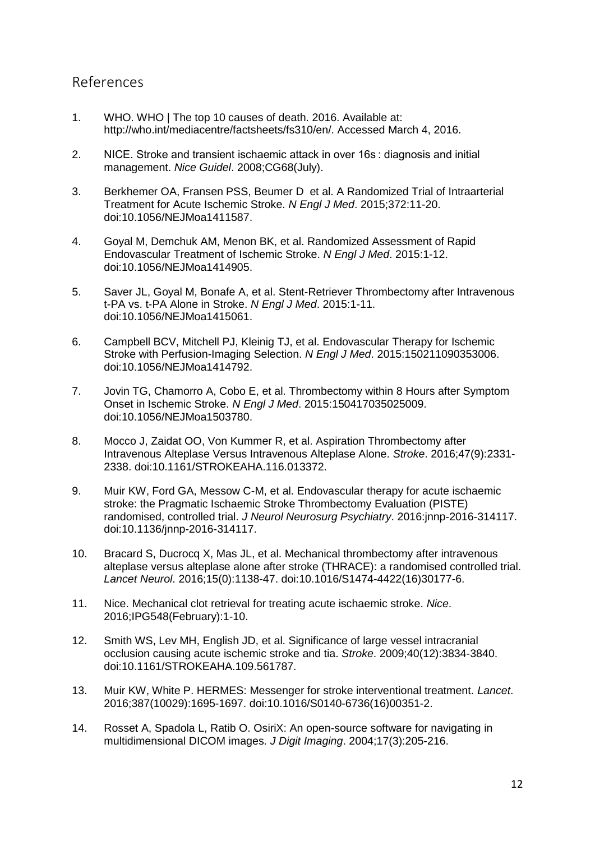# References

- 1. WHO. WHO | The top 10 causes of death. 2016. Available at: http://who.int/mediacentre/factsheets/fs310/en/. Accessed March 4, 2016.
- 2. NICE. Stroke and transient ischaemic attack in over 16s : diagnosis and initial management. *Nice Guidel*. 2008;CG68(July).
- 3. Berkhemer OA, Fransen PSS, Beumer D et al. A Randomized Trial of Intraarterial Treatment for Acute Ischemic Stroke. *N Engl J Med*. 2015;372:11-20. doi:10.1056/NEJMoa1411587.
- 4. Goyal M, Demchuk AM, Menon BK, et al. Randomized Assessment of Rapid Endovascular Treatment of Ischemic Stroke. *N Engl J Med*. 2015:1-12. doi:10.1056/NEJMoa1414905.
- 5. Saver JL, Goyal M, Bonafe A, et al. Stent-Retriever Thrombectomy after Intravenous t-PA vs. t-PA Alone in Stroke. *N Engl J Med*. 2015:1-11. doi:10.1056/NEJMoa1415061.
- 6. Campbell BCV, Mitchell PJ, Kleinig TJ, et al. Endovascular Therapy for Ischemic Stroke with Perfusion-Imaging Selection. *N Engl J Med*. 2015:150211090353006. doi:10.1056/NEJMoa1414792.
- 7. Jovin TG, Chamorro A, Cobo E, et al. Thrombectomy within 8 Hours after Symptom Onset in Ischemic Stroke. *N Engl J Med*. 2015:150417035025009. doi:10.1056/NEJMoa1503780.
- 8. Mocco J, Zaidat OO, Von Kummer R, et al. Aspiration Thrombectomy after Intravenous Alteplase Versus Intravenous Alteplase Alone. *Stroke*. 2016;47(9):2331- 2338. doi:10.1161/STROKEAHA.116.013372.
- 9. Muir KW, Ford GA, Messow C-M, et al. Endovascular therapy for acute ischaemic stroke: the Pragmatic Ischaemic Stroke Thrombectomy Evaluation (PISTE) randomised, controlled trial. *J Neurol Neurosurg Psychiatry*. 2016:jnnp-2016-314117. doi:10.1136/jnnp-2016-314117.
- 10. Bracard S, Ducrocq X, Mas JL, et al. Mechanical thrombectomy after intravenous alteplase versus alteplase alone after stroke (THRACE): a randomised controlled trial. *Lancet Neurol*. 2016;15(0):1138-47. doi:10.1016/S1474-4422(16)30177-6.
- 11. Nice. Mechanical clot retrieval for treating acute ischaemic stroke. *Nice*. 2016;IPG548(February):1-10.
- 12. Smith WS, Lev MH, English JD, et al. Significance of large vessel intracranial occlusion causing acute ischemic stroke and tia. *Stroke*. 2009;40(12):3834-3840. doi:10.1161/STROKEAHA.109.561787.
- 13. Muir KW, White P. HERMES: Messenger for stroke interventional treatment. *Lancet*. 2016;387(10029):1695-1697. doi:10.1016/S0140-6736(16)00351-2.
- 14. Rosset A, Spadola L, Ratib O. OsiriX: An open-source software for navigating in multidimensional DICOM images. *J Digit Imaging*. 2004;17(3):205-216.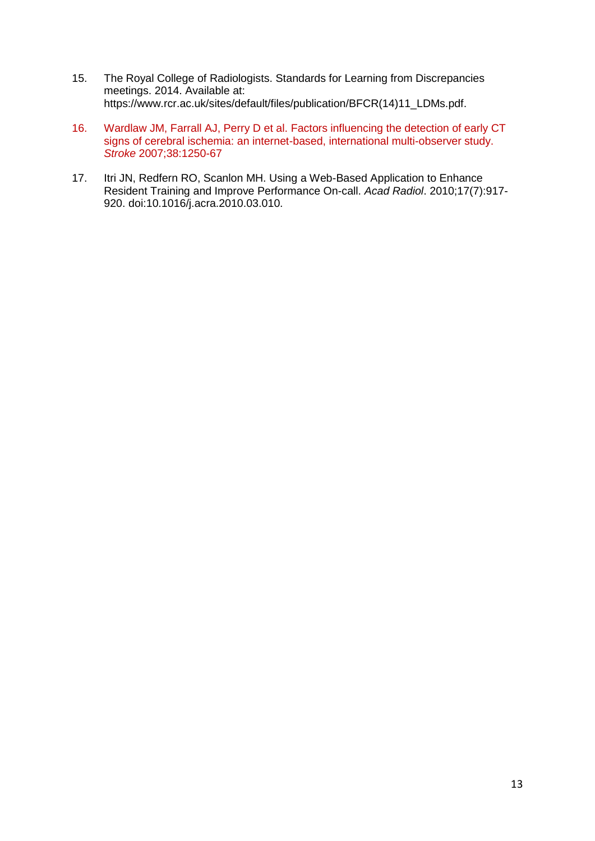- 15. The Royal College of Radiologists. Standards for Learning from Discrepancies meetings. 2014. Available at: https://www.rcr.ac.uk/sites/default/files/publication/BFCR(14)11\_LDMs.pdf.
- 16. Wardlaw JM, Farrall AJ, Perry D et al. Factors influencing the detection of early CT signs of cerebral ischemia: an internet-based, international multi-observer study. *Stroke* 2007;38:1250-67
- 17. Itri JN, Redfern RO, Scanlon MH. Using a Web-Based Application to Enhance Resident Training and Improve Performance On-call. *Acad Radiol*. 2010;17(7):917- 920. doi:10.1016/j.acra.2010.03.010.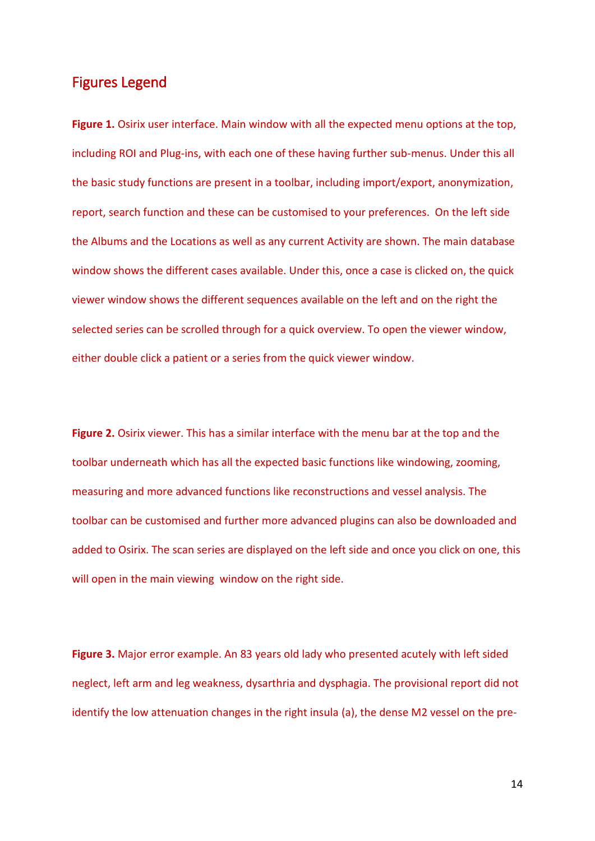# Figures Legend

**Figure 1.** Osirix user interface. Main window with all the expected menu options at the top, including ROI and Plug-ins, with each one of these having further sub-menus. Under this all the basic study functions are present in a toolbar, including import/export, anonymization, report, search function and these can be customised to your preferences. On the left side the Albums and the Locations as well as any current Activity are shown. The main database window shows the different cases available. Under this, once a case is clicked on, the quick viewer window shows the different sequences available on the left and on the right the selected series can be scrolled through for a quick overview. To open the viewer window, either double click a patient or a series from the quick viewer window.

**Figure 2.** Osirix viewer. This has a similar interface with the menu bar at the top and the toolbar underneath which has all the expected basic functions like windowing, zooming, measuring and more advanced functions like reconstructions and vessel analysis. The toolbar can be customised and further more advanced plugins can also be downloaded and added to Osirix. The scan series are displayed on the left side and once you click on one, this will open in the main viewing window on the right side.

**Figure 3.** Major error example. An 83 years old lady who presented acutely with left sided neglect, left arm and leg weakness, dysarthria and dysphagia. The provisional report did not identify the low attenuation changes in the right insula (a), the dense M2 vessel on the pre-